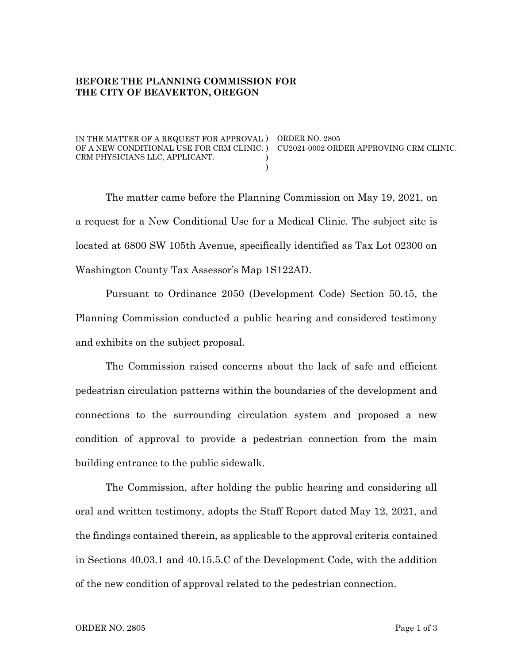## **BEFORE THE PLANNING COMMISSION FOR THE CITY OF BEAVERTON, OREGON**

IN THE MATTER OF A REQUEST FOR APPROVAL ) ORDER NO. 2805 OF A NEW CONDITIONAL USE FOR CRM CLINIC. ) CU2021-0002 ORDER APPROVING CRM CLINIC. CRM PHYSICIANS LLC, APPLICANT.

The matter came before the Planning Commission on May 19, 2021, on a request for a New Conditional Use for a Medical Clinic. The subject site is located at 6800 SW 105th Avenue, specifically identified as Tax Lot 02300 on Washington County Tax Assessor's Map 1S122AD.

) )

Pursuant to Ordinance 2050 (Development Code) Section 50.45, the Planning Commission conducted a public hearing and considered testimony and exhibits on the subject proposal.

The Commission raised concerns about the lack of safe and efficient pedestrian circulation patterns within the boundaries of the development and connections to the surrounding circulation system and proposed a new condition of approval to provide a pedestrian connection from the main building entrance to the public sidewalk.

The Commission, after holding the public hearing and considering all oral and written testimony, adopts the Staff Report dated May 12, 2021, and the findings contained therein, as applicable to the approval criteria contained in Sections 40.03.1 and 40.15.5.C of the Development Code, with the addition of the new condition of approval related to the pedestrian connection.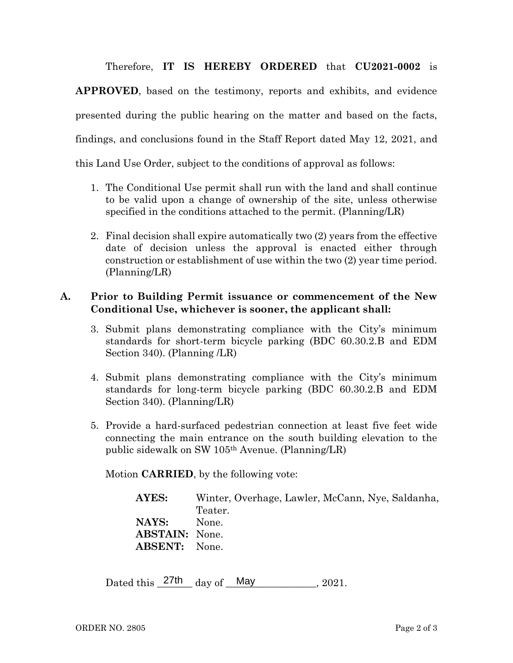Therefore, **IT IS HEREBY ORDERED** that **CU2021-0002** is

**APPROVED**, based on the testimony, reports and exhibits, and evidence presented during the public hearing on the matter and based on the facts, findings, and conclusions found in the Staff Report dated May 12, 2021, and this Land Use Order, subject to the conditions of approval as follows:

- 1. The Conditional Use permit shall run with the land and shall continue to be valid upon a change of ownership of the site, unless otherwise specified in the conditions attached to the permit. (Planning/LR)
- 2. Final decision shall expire automatically two (2) years from the effective date of decision unless the approval is enacted either through construction or establishment of use within the two (2) year time period. (Planning/LR)

## **A. Prior to Building Permit issuance or commencement of the New Conditional Use, whichever is sooner, the applicant shall:**

- 3. Submit plans demonstrating compliance with the City's minimum standards for short-term bicycle parking (BDC 60.30.2.B and EDM Section 340). (Planning /LR)
- 4. Submit plans demonstrating compliance with the City's minimum standards for long-term bicycle parking (BDC 60.30.2.B and EDM Section 340). (Planning/LR)
- 5. Provide a hard-surfaced pedestrian connection at least five feet wide connecting the main entrance on the south building elevation to the public sidewalk on SW 105th Avenue. (Planning/LR)

Motion **CARRIED**, by the following vote:

| AYES:                 | Winter, Overhage, Lawler, McCann, Nye, Saldanha, |
|-----------------------|--------------------------------------------------|
|                       | Teater.                                          |
| NAYS:                 | None.                                            |
| <b>ABSTAIN:</b> None. |                                                  |
| <b>ABSENT:</b> None.  |                                                  |

Dated this  $\frac{27th}{\text{day of}}$  May  $\frac{1}{20}$  $, 2021.$